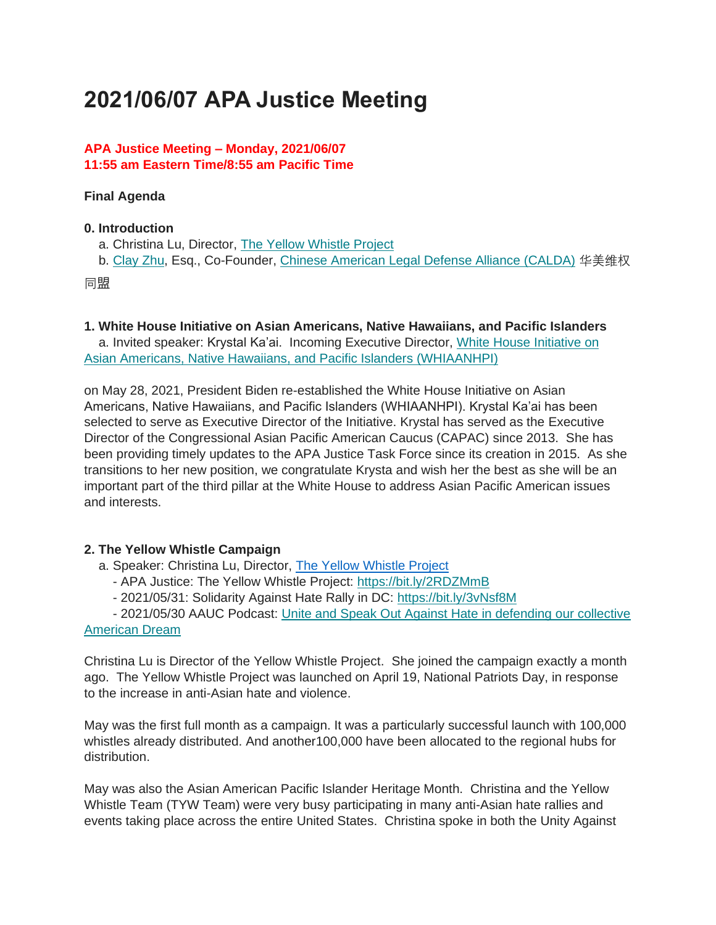# **2021/06/07 APA Justice Meeting**

### **APA Justice Meeting – Monday, 2021/06/07 11:55 am Eastern Time/8:55 am Pacific Time**

### **Final Agenda**

### **0. Introduction**

- a. Christina Lu, Director, [The Yellow Whistle Project](https://bit.ly/32gKM0d)
- b. [Clay Zhu,](https://apajustice.us10.list-manage.com/track/click?u=e7b59f65e74d0cf687a5f268c&id=ecc1de9b99&e=168c9b0d2e) Esq., Co-Founder, [Chinese American Legal Defense Alliance \(CALDA\)](https://apajustice.us10.list-manage.com/track/click?u=e7b59f65e74d0cf687a5f268c&id=04e3e00fa5&e=168c9b0d2e) 华美维权

同盟

**1. White House Initiative on Asian Americans, Native Hawaiians, and Pacific Islanders**

a. Invited speaker: Krystal Ka'ai. Incoming Executive Director, [White House Initiative on](https://apajustice.us10.list-manage.com/track/click?u=e7b59f65e74d0cf687a5f268c&id=0d1338ba91&e=168c9b0d2e)  [Asian Americans, Native Hawaiians, and Pacific Islanders \(WHIAANHPI\)](https://apajustice.us10.list-manage.com/track/click?u=e7b59f65e74d0cf687a5f268c&id=0d1338ba91&e=168c9b0d2e)

on May 28, 2021, President Biden re-established the White House Initiative on Asian Americans, Native Hawaiians, and Pacific Islanders (WHIAANHPI). Krystal Ka'ai has been selected to serve as Executive Director of the Initiative. Krystal has served as the Executive Director of the Congressional Asian Pacific American Caucus (CAPAC) since 2013. She has been providing timely updates to the APA Justice Task Force since its creation in 2015. As she transitions to her new position, we congratulate Krysta and wish her the best as she will be an important part of the third pillar at the White House to address Asian Pacific American issues and interests.

#### **2. The Yellow Whistle Campaign**

- a. Speaker: Christina Lu, Director, [The Yellow Whistle Project](https://bit.ly/32gKM0d)
	- APA Justice: The Yellow Whistle Project: [https://bit.ly/2RDZMmB](https://apajustice.us10.list-manage.com/track/click?u=e7b59f65e74d0cf687a5f268c&id=8485da92c1&e=168c9b0d2e)
	- 2021/05/31: Solidarity Against Hate Rally in DC: <https://bit.ly/3vNsf8M>

- 2021/05/30 AAUC Podcast: [Unite and Speak Out Against Hate in defending our collective](https://apajustice.us10.list-manage.com/track/click?u=e7b59f65e74d0cf687a5f268c&id=062edd97e7&e=168c9b0d2e)  [American Dream](https://apajustice.us10.list-manage.com/track/click?u=e7b59f65e74d0cf687a5f268c&id=062edd97e7&e=168c9b0d2e)

Christina Lu is Director of the Yellow Whistle Project. She joined the campaign exactly a month ago. The Yellow Whistle Project was launched on April 19, National Patriots Day, in response to the increase in anti-Asian hate and violence.

May was the first full month as a campaign. It was a particularly successful launch with 100,000 whistles already distributed. And another100,000 have been allocated to the regional hubs for distribution.

May was also the Asian American Pacific Islander Heritage Month. Christina and the Yellow Whistle Team (TYW Team) were very busy participating in many anti-Asian hate rallies and events taking place across the entire United States. Christina spoke in both the Unity Against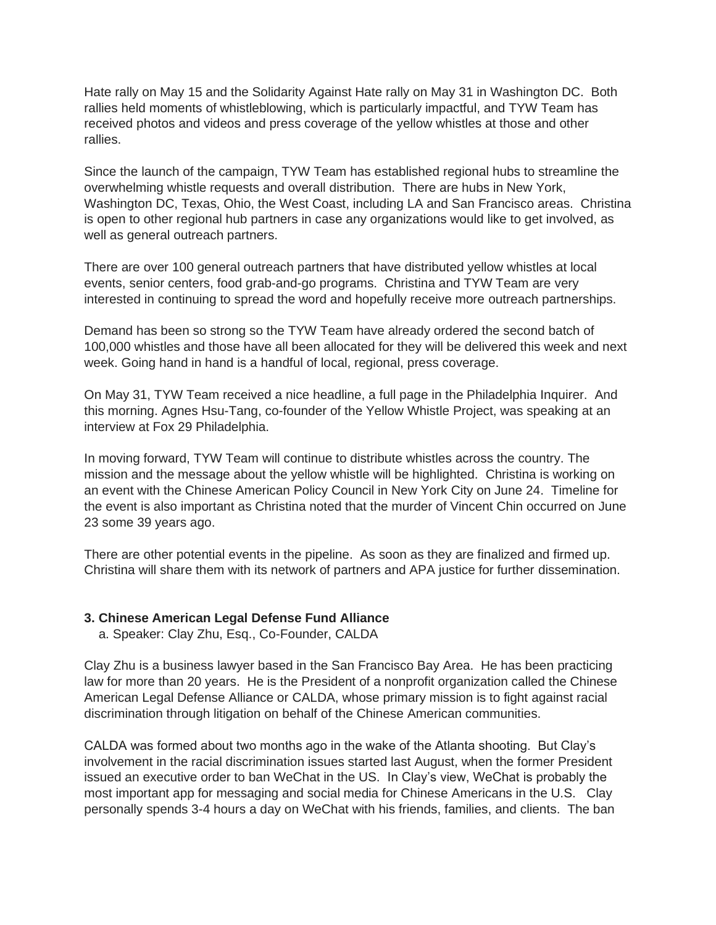Hate rally on May 15 and the Solidarity Against Hate rally on May 31 in Washington DC. Both rallies held moments of whistleblowing, which is particularly impactful, and TYW Team has received photos and videos and press coverage of the yellow whistles at those and other rallies.

Since the launch of the campaign, TYW Team has established regional hubs to streamline the overwhelming whistle requests and overall distribution. There are hubs in New York, Washington DC, Texas, Ohio, the West Coast, including LA and San Francisco areas. Christina is open to other regional hub partners in case any organizations would like to get involved, as well as general outreach partners.

There are over 100 general outreach partners that have distributed yellow whistles at local events, senior centers, food grab-and-go programs. Christina and TYW Team are very interested in continuing to spread the word and hopefully receive more outreach partnerships.

Demand has been so strong so the TYW Team have already ordered the second batch of 100,000 whistles and those have all been allocated for they will be delivered this week and next week. Going hand in hand is a handful of local, regional, press coverage.

On May 31, TYW Team received a nice headline, a full page in the Philadelphia Inquirer. And this morning. Agnes Hsu-Tang, co-founder of the Yellow Whistle Project, was speaking at an interview at Fox 29 Philadelphia.

In moving forward, TYW Team will continue to distribute whistles across the country. The mission and the message about the yellow whistle will be highlighted. Christina is working on an event with the Chinese American Policy Council in New York City on June 24. Timeline for the event is also important as Christina noted that the murder of Vincent Chin occurred on June 23 some 39 years ago.

There are other potential events in the pipeline. As soon as they are finalized and firmed up. Christina will share them with its network of partners and APA justice for further dissemination.

#### **3. Chinese American Legal Defense Fund Alliance**

a. Speaker: Clay Zhu, Esq., Co-Founder, CALDA

Clay Zhu is a business lawyer based in the San Francisco Bay Area. He has been practicing law for more than 20 years. He is the President of a nonprofit organization called the Chinese American Legal Defense Alliance or CALDA, whose primary mission is to fight against racial discrimination through litigation on behalf of the Chinese American communities.

CALDA was formed about two months ago in the wake of the Atlanta shooting. But Clay's involvement in the racial discrimination issues started last August, when the former President issued an executive order to ban WeChat in the US. In Clay's view, WeChat is probably the most important app for messaging and social media for Chinese Americans in the U.S. Clay personally spends 3-4 hours a day on WeChat with his friends, families, and clients. The ban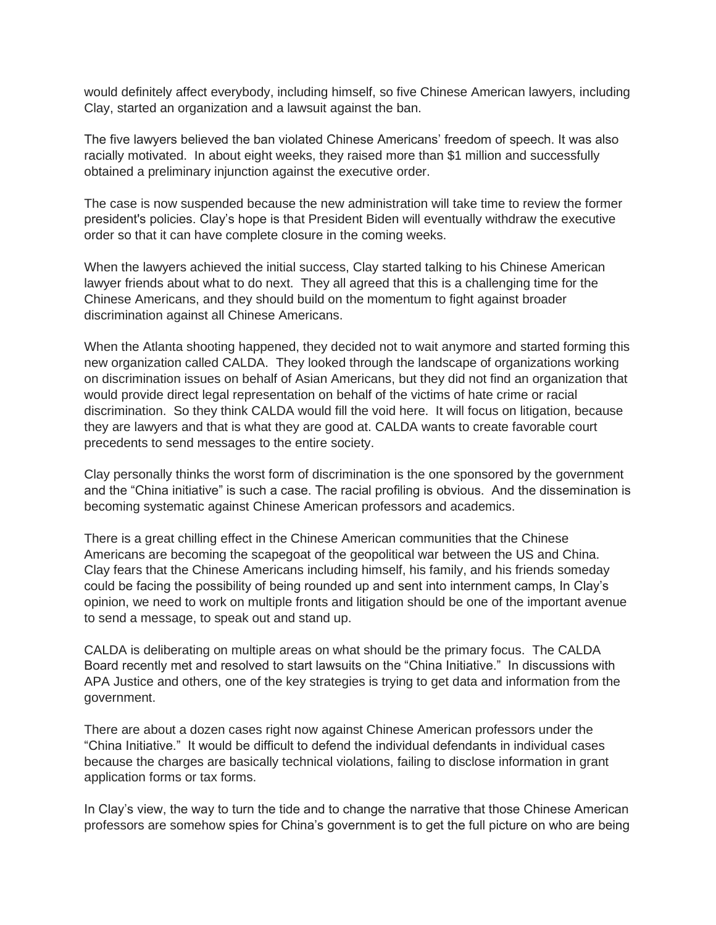would definitely affect everybody, including himself, so five Chinese American lawyers, including Clay, started an organization and a lawsuit against the ban.

The five lawyers believed the ban violated Chinese Americans' freedom of speech. It was also racially motivated. In about eight weeks, they raised more than \$1 million and successfully obtained a preliminary injunction against the executive order.

The case is now suspended because the new administration will take time to review the former president's policies. Clay's hope is that President Biden will eventually withdraw the executive order so that it can have complete closure in the coming weeks.

When the lawyers achieved the initial success, Clay started talking to his Chinese American lawyer friends about what to do next. They all agreed that this is a challenging time for the Chinese Americans, and they should build on the momentum to fight against broader discrimination against all Chinese Americans.

When the Atlanta shooting happened, they decided not to wait anymore and started forming this new organization called CALDA. They looked through the landscape of organizations working on discrimination issues on behalf of Asian Americans, but they did not find an organization that would provide direct legal representation on behalf of the victims of hate crime or racial discrimination. So they think CALDA would fill the void here. It will focus on litigation, because they are lawyers and that is what they are good at. CALDA wants to create favorable court precedents to send messages to the entire society.

Clay personally thinks the worst form of discrimination is the one sponsored by the government and the "China initiative" is such a case. The racial profiling is obvious. And the dissemination is becoming systematic against Chinese American professors and academics.

There is a great chilling effect in the Chinese American communities that the Chinese Americans are becoming the scapegoat of the geopolitical war between the US and China. Clay fears that the Chinese Americans including himself, his family, and his friends someday could be facing the possibility of being rounded up and sent into internment camps, In Clay's opinion, we need to work on multiple fronts and litigation should be one of the important avenue to send a message, to speak out and stand up.

CALDA is deliberating on multiple areas on what should be the primary focus. The CALDA Board recently met and resolved to start lawsuits on the "China Initiative." In discussions with APA Justice and others, one of the key strategies is trying to get data and information from the government.

There are about a dozen cases right now against Chinese American professors under the "China Initiative." It would be difficult to defend the individual defendants in individual cases because the charges are basically technical violations, failing to disclose information in grant application forms or tax forms.

In Clay's view, the way to turn the tide and to change the narrative that those Chinese American professors are somehow spies for China's government is to get the full picture on who are being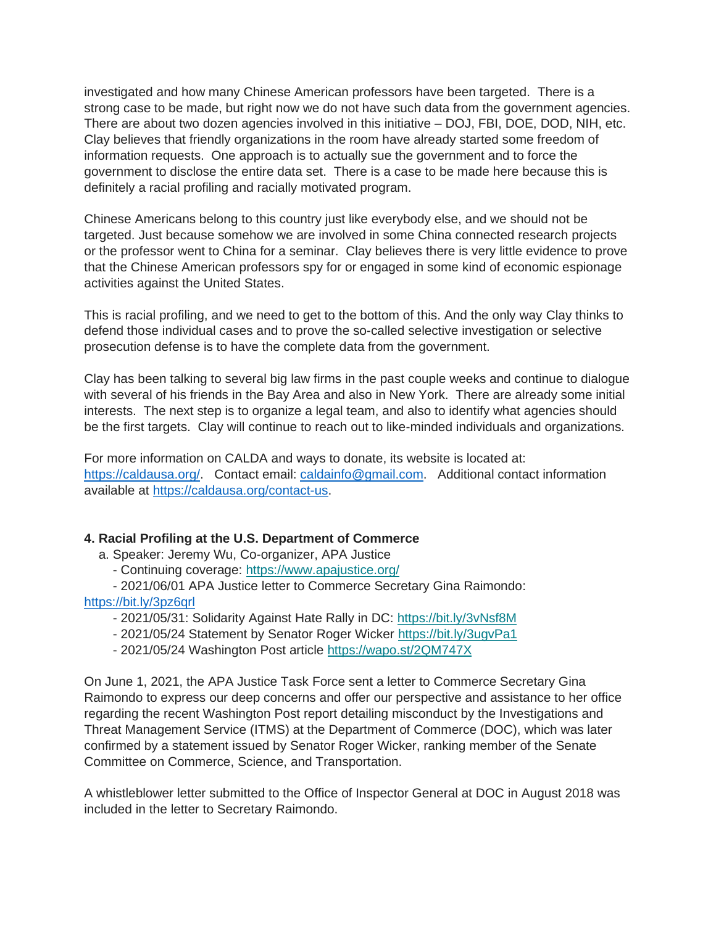investigated and how many Chinese American professors have been targeted. There is a strong case to be made, but right now we do not have such data from the government agencies. There are about two dozen agencies involved in this initiative – DOJ, FBI, DOE, DOD, NIH, etc. Clay believes that friendly organizations in the room have already started some freedom of information requests. One approach is to actually sue the government and to force the government to disclose the entire data set. There is a case to be made here because this is definitely a racial profiling and racially motivated program.

Chinese Americans belong to this country just like everybody else, and we should not be targeted. Just because somehow we are involved in some China connected research projects or the professor went to China for a seminar. Clay believes there is very little evidence to prove that the Chinese American professors spy for or engaged in some kind of economic espionage activities against the United States.

This is racial profiling, and we need to get to the bottom of this. And the only way Clay thinks to defend those individual cases and to prove the so-called selective investigation or selective prosecution defense is to have the complete data from the government.

Clay has been talking to several big law firms in the past couple weeks and continue to dialogue with several of his friends in the Bay Area and also in New York. There are already some initial interests. The next step is to organize a legal team, and also to identify what agencies should be the first targets. Clay will continue to reach out to like-minded individuals and organizations.

For more information on CALDA and ways to donate, its website is located at: [https://caldausa.org/.](https://caldausa.org/) Contact email: [caldainfo@gmail.com.](mailto:caldainfo@gmail.com) Additional contact information available at [https://caldausa.org/contact-us.](https://caldausa.org/contact-us)

#### **4. Racial Profiling at the U.S. Department of Commerce**

a. Speaker: Jeremy Wu, Co-organizer, APA Justice

- Continuing coverage: [https://www.apajustice.org/](https://apajustice.us10.list-manage.com/track/click?u=e7b59f65e74d0cf687a5f268c&id=7d105cae7f&e=168c9b0d2e)
- 2021/06/01 APA Justice letter to Commerce Secretary Gina Raimondo:

#### <https://bit.ly/3pz6qrl>

- 2021/05/31: Solidarity Against Hate Rally in DC: <https://bit.ly/3vNsf8M>
- 2021/05/24 Statement by Senator Roger Wicker [https://bit.ly/3ugvPa1](https://apajustice.us10.list-manage.com/track/click?u=e7b59f65e74d0cf687a5f268c&id=9de5986ac7&e=168c9b0d2e)
- 2021/05/24 Washington Post article [https://wapo.st/2QM747X](https://apajustice.us10.list-manage.com/track/click?u=e7b59f65e74d0cf687a5f268c&id=1c54138d37&e=168c9b0d2e)

On June 1, 2021, the APA Justice Task Force sent a letter to Commerce Secretary Gina Raimondo to express our deep concerns and offer our perspective and assistance to her office regarding the recent Washington Post report detailing misconduct by the Investigations and Threat Management Service (ITMS) at the Department of Commerce (DOC), which was later confirmed by a statement issued by Senator Roger Wicker, ranking member of the Senate Committee on Commerce, Science, and Transportation.

A whistleblower letter submitted to the Office of Inspector General at DOC in August 2018 was included in the letter to Secretary Raimondo.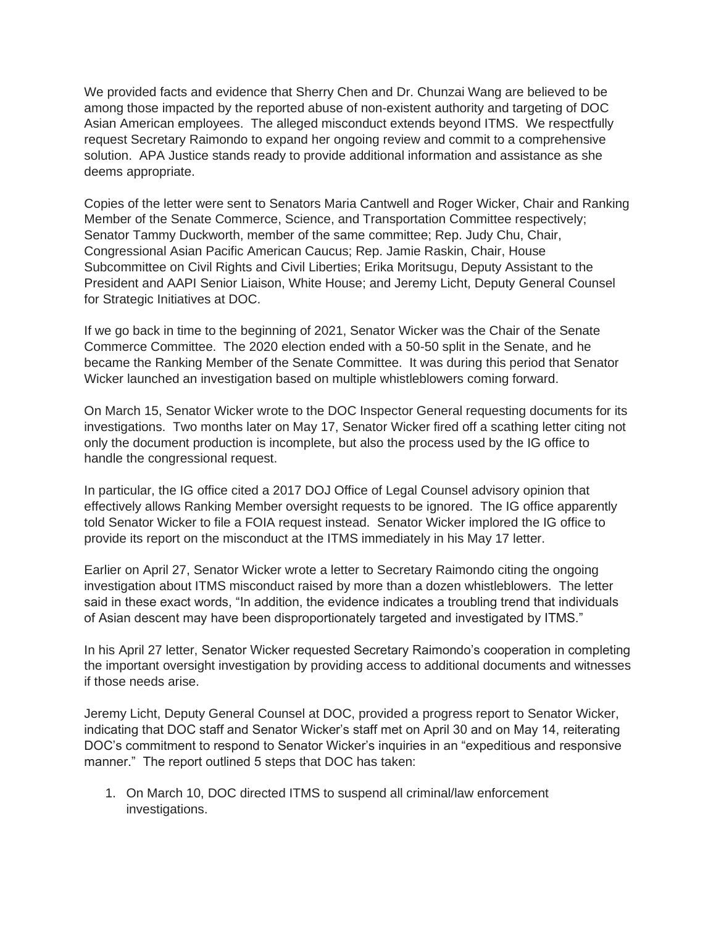We provided facts and evidence that Sherry Chen and Dr. Chunzai Wang are believed to be among those impacted by the reported abuse of non-existent authority and targeting of DOC Asian American employees. The alleged misconduct extends beyond ITMS. We respectfully request Secretary Raimondo to expand her ongoing review and commit to a comprehensive solution. APA Justice stands ready to provide additional information and assistance as she deems appropriate.

Copies of the letter were sent to Senators Maria Cantwell and Roger Wicker, Chair and Ranking Member of the Senate Commerce, Science, and Transportation Committee respectively; Senator Tammy Duckworth, member of the same committee; Rep. Judy Chu, Chair, Congressional Asian Pacific American Caucus; Rep. Jamie Raskin, Chair, House Subcommittee on Civil Rights and Civil Liberties; Erika Moritsugu, Deputy Assistant to the President and AAPI Senior Liaison, White House; and Jeremy Licht, Deputy General Counsel for Strategic Initiatives at DOC.

If we go back in time to the beginning of 2021, Senator Wicker was the Chair of the Senate Commerce Committee. The 2020 election ended with a 50-50 split in the Senate, and he became the Ranking Member of the Senate Committee. It was during this period that Senator Wicker launched an investigation based on multiple whistleblowers coming forward.

On March 15, Senator Wicker wrote to the DOC Inspector General requesting documents for its investigations. Two months later on May 17, Senator Wicker fired off a scathing letter citing not only the document production is incomplete, but also the process used by the IG office to handle the congressional request.

In particular, the IG office cited a 2017 DOJ Office of Legal Counsel advisory opinion that effectively allows Ranking Member oversight requests to be ignored. The IG office apparently told Senator Wicker to file a FOIA request instead. Senator Wicker implored the IG office to provide its report on the misconduct at the ITMS immediately in his May 17 letter.

Earlier on April 27, Senator Wicker wrote a letter to Secretary Raimondo citing the ongoing investigation about ITMS misconduct raised by more than a dozen whistleblowers. The letter said in these exact words, "In addition, the evidence indicates a troubling trend that individuals of Asian descent may have been disproportionately targeted and investigated by ITMS."

In his April 27 letter, Senator Wicker requested Secretary Raimondo's cooperation in completing the important oversight investigation by providing access to additional documents and witnesses if those needs arise.

Jeremy Licht, Deputy General Counsel at DOC, provided a progress report to Senator Wicker, indicating that DOC staff and Senator Wicker's staff met on April 30 and on May 14, reiterating DOC's commitment to respond to Senator Wicker's inquiries in an "expeditious and responsive manner." The report outlined 5 steps that DOC has taken:

1. On March 10, DOC directed ITMS to suspend all criminal/law enforcement investigations.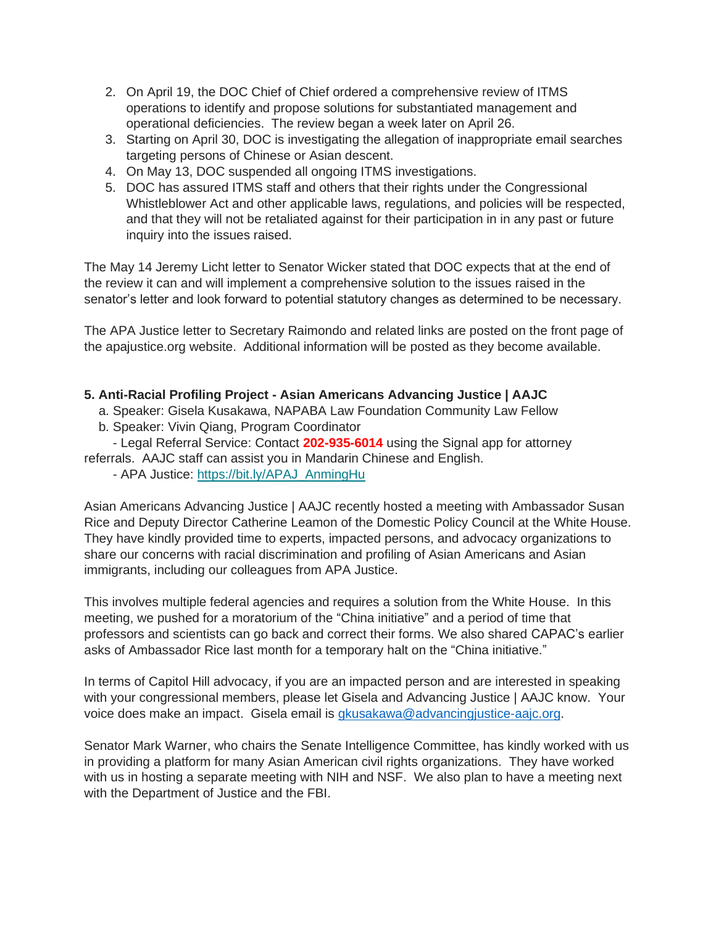- 2. On April 19, the DOC Chief of Chief ordered a comprehensive review of ITMS operations to identify and propose solutions for substantiated management and operational deficiencies. The review began a week later on April 26.
- 3. Starting on April 30, DOC is investigating the allegation of inappropriate email searches targeting persons of Chinese or Asian descent.
- 4. On May 13, DOC suspended all ongoing ITMS investigations.
- 5. DOC has assured ITMS staff and others that their rights under the Congressional Whistleblower Act and other applicable laws, regulations, and policies will be respected, and that they will not be retaliated against for their participation in in any past or future inquiry into the issues raised.

The May 14 Jeremy Licht letter to Senator Wicker stated that DOC expects that at the end of the review it can and will implement a comprehensive solution to the issues raised in the senator's letter and look forward to potential statutory changes as determined to be necessary.

The APA Justice letter to Secretary Raimondo and related links are posted on the front page of the apajustice.org website. Additional information will be posted as they become available.

## **5. Anti-Racial Profiling Project - Asian Americans Advancing Justice | AAJC**

- a. Speaker: Gisela Kusakawa, NAPABA Law Foundation Community Law Fellow
- b. Speaker: Vivin Qiang, Program Coordinator
- Legal Referral Service: Contact **202-935-6014** using the Signal app for attorney
- referrals. AAJC staff can assist you in Mandarin Chinese and English.
	- APA Justice: [https://bit.ly/APAJ\\_AnmingHu](https://apajustice.us10.list-manage.com/track/click?u=e7b59f65e74d0cf687a5f268c&id=c1e53e0585&e=168c9b0d2e)

Asian Americans Advancing Justice | AAJC recently hosted a meeting with Ambassador Susan Rice and Deputy Director Catherine Leamon of the Domestic Policy Council at the White House. They have kindly provided time to experts, impacted persons, and advocacy organizations to share our concerns with racial discrimination and profiling of Asian Americans and Asian immigrants, including our colleagues from APA Justice.

This involves multiple federal agencies and requires a solution from the White House. In this meeting, we pushed for a moratorium of the "China initiative" and a period of time that professors and scientists can go back and correct their forms. We also shared CAPAC's earlier asks of Ambassador Rice last month for a temporary halt on the "China initiative."

In terms of Capitol Hill advocacy, if you are an impacted person and are interested in speaking with your congressional members, please let Gisela and Advancing Justice | AAJC know. Your voice does make an impact. Gisela email is [gkusakawa@advancingjustice-aajc.org.](mailto:gkusakawa@advancingjustice-aajc.org)

Senator Mark Warner, who chairs the Senate Intelligence Committee, has kindly worked with us in providing a platform for many Asian American civil rights organizations. They have worked with us in hosting a separate meeting with NIH and NSF. We also plan to have a meeting next with the Department of Justice and the FBI.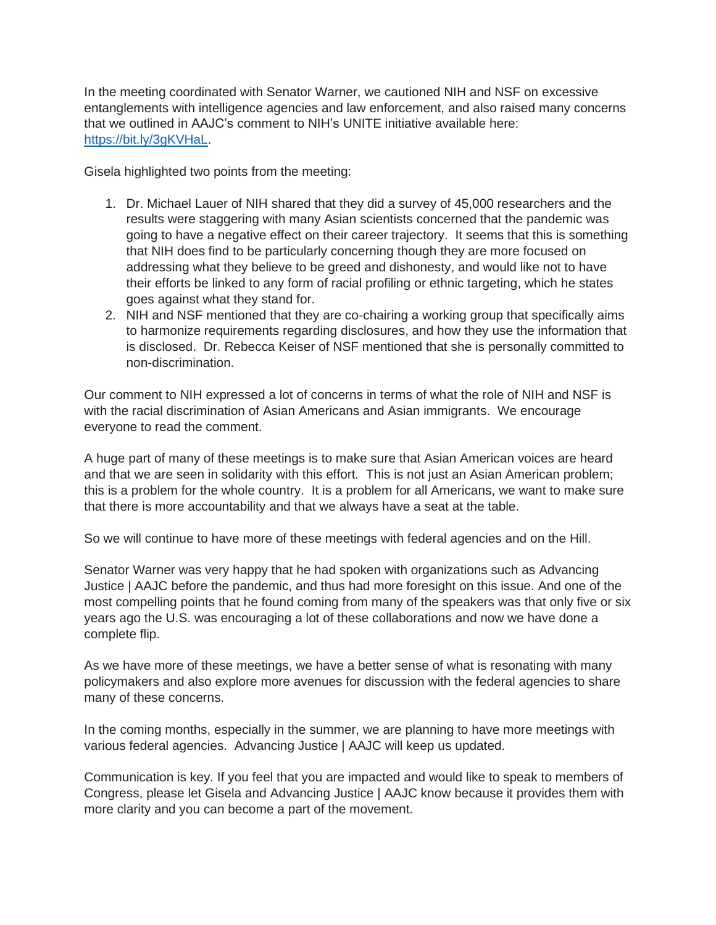In the meeting coordinated with Senator Warner, we cautioned NIH and NSF on excessive entanglements with intelligence agencies and law enforcement, and also raised many concerns that we outlined in AAJC's comment to NIH's UNITE initiative available here: [https://bit.ly/3gKVHaL.](https://bit.ly/3gKVHaL)

Gisela highlighted two points from the meeting:

- 1. Dr. Michael Lauer of NIH shared that they did a survey of 45,000 researchers and the results were staggering with many Asian scientists concerned that the pandemic was going to have a negative effect on their career trajectory. It seems that this is something that NIH does find to be particularly concerning though they are more focused on addressing what they believe to be greed and dishonesty, and would like not to have their efforts be linked to any form of racial profiling or ethnic targeting, which he states goes against what they stand for.
- 2. NIH and NSF mentioned that they are co-chairing a working group that specifically aims to harmonize requirements regarding disclosures, and how they use the information that is disclosed. Dr. Rebecca Keiser of NSF mentioned that she is personally committed to non-discrimination.

Our comment to NIH expressed a lot of concerns in terms of what the role of NIH and NSF is with the racial discrimination of Asian Americans and Asian immigrants. We encourage everyone to read the comment.

A huge part of many of these meetings is to make sure that Asian American voices are heard and that we are seen in solidarity with this effort. This is not just an Asian American problem; this is a problem for the whole country. It is a problem for all Americans, we want to make sure that there is more accountability and that we always have a seat at the table.

So we will continue to have more of these meetings with federal agencies and on the Hill.

Senator Warner was very happy that he had spoken with organizations such as Advancing Justice | AAJC before the pandemic, and thus had more foresight on this issue. And one of the most compelling points that he found coming from many of the speakers was that only five or six years ago the U.S. was encouraging a lot of these collaborations and now we have done a complete flip.

As we have more of these meetings, we have a better sense of what is resonating with many policymakers and also explore more avenues for discussion with the federal agencies to share many of these concerns.

In the coming months, especially in the summer, we are planning to have more meetings with various federal agencies. Advancing Justice | AAJC will keep us updated.

Communication is key. If you feel that you are impacted and would like to speak to members of Congress, please let Gisela and Advancing Justice | AAJC know because it provides them with more clarity and you can become a part of the movement.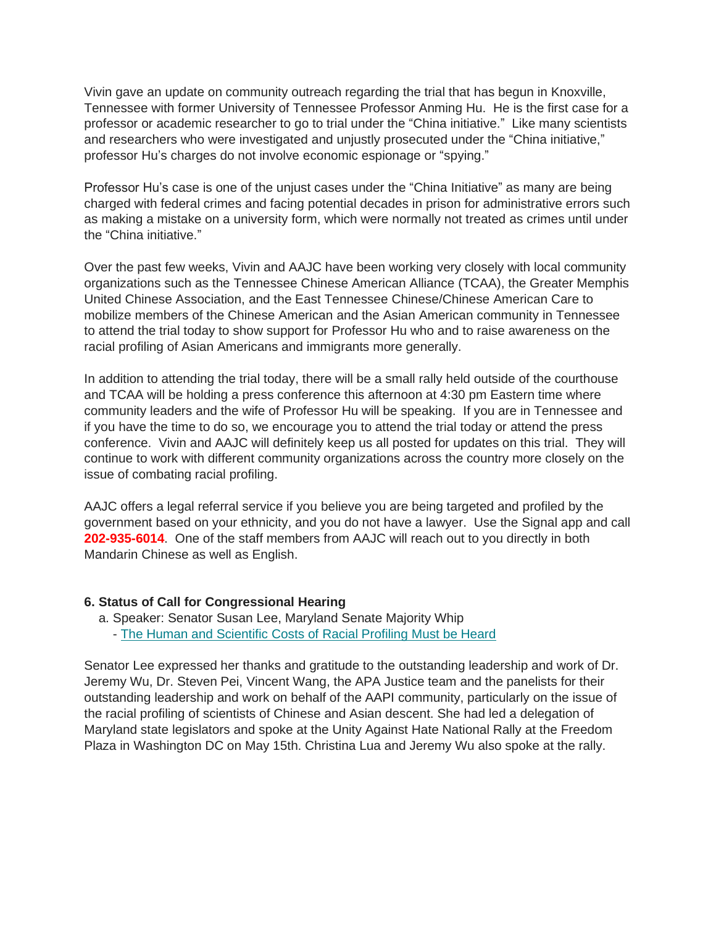Vivin gave an update on community outreach regarding the trial that has begun in Knoxville, Tennessee with former University of Tennessee Professor Anming Hu. He is the first case for a professor or academic researcher to go to trial under the "China initiative." Like many scientists and researchers who were investigated and unjustly prosecuted under the "China initiative," professor Hu's charges do not involve economic espionage or "spying."

Professor Hu's case is one of the unjust cases under the "China Initiative" as many are being charged with federal crimes and facing potential decades in prison for administrative errors such as making a mistake on a university form, which were normally not treated as crimes until under the "China initiative."

Over the past few weeks, Vivin and AAJC have been working very closely with local community organizations such as the Tennessee Chinese American Alliance (TCAA), the Greater Memphis United Chinese Association, and the East Tennessee Chinese/Chinese American Care to mobilize members of the Chinese American and the Asian American community in Tennessee to attend the trial today to show support for Professor Hu who and to raise awareness on the racial profiling of Asian Americans and immigrants more generally.

In addition to attending the trial today, there will be a small rally held outside of the courthouse and TCAA will be holding a press conference this afternoon at 4:30 pm Eastern time where community leaders and the wife of Professor Hu will be speaking. If you are in Tennessee and if you have the time to do so, we encourage you to attend the trial today or attend the press conference. Vivin and AAJC will definitely keep us all posted for updates on this trial. They will continue to work with different community organizations across the country more closely on the issue of combating racial profiling.

AAJC offers a legal referral service if you believe you are being targeted and profiled by the government based on your ethnicity, and you do not have a lawyer. Use the Signal app and call **202-935-6014**. One of the staff members from AAJC will reach out to you directly in both Mandarin Chinese as well as English.

#### **6. Status of Call for Congressional Hearing**

a. Speaker: Senator Susan Lee, Maryland Senate Majority Whip - [The Human and Scientific Costs of Racial Profiling Must be Heard](https://apajustice.us10.list-manage.com/track/click?u=e7b59f65e74d0cf687a5f268c&id=38e4723c81&e=168c9b0d2e)

Senator Lee expressed her thanks and gratitude to the outstanding leadership and work of Dr. Jeremy Wu, Dr. Steven Pei, Vincent Wang, the APA Justice team and the panelists for their outstanding leadership and work on behalf of the AAPI community, particularly on the issue of the racial profiling of scientists of Chinese and Asian descent. She had led a delegation of Maryland state legislators and spoke at the Unity Against Hate National Rally at the Freedom Plaza in Washington DC on May 15th. Christina Lua and Jeremy Wu also spoke at the rally.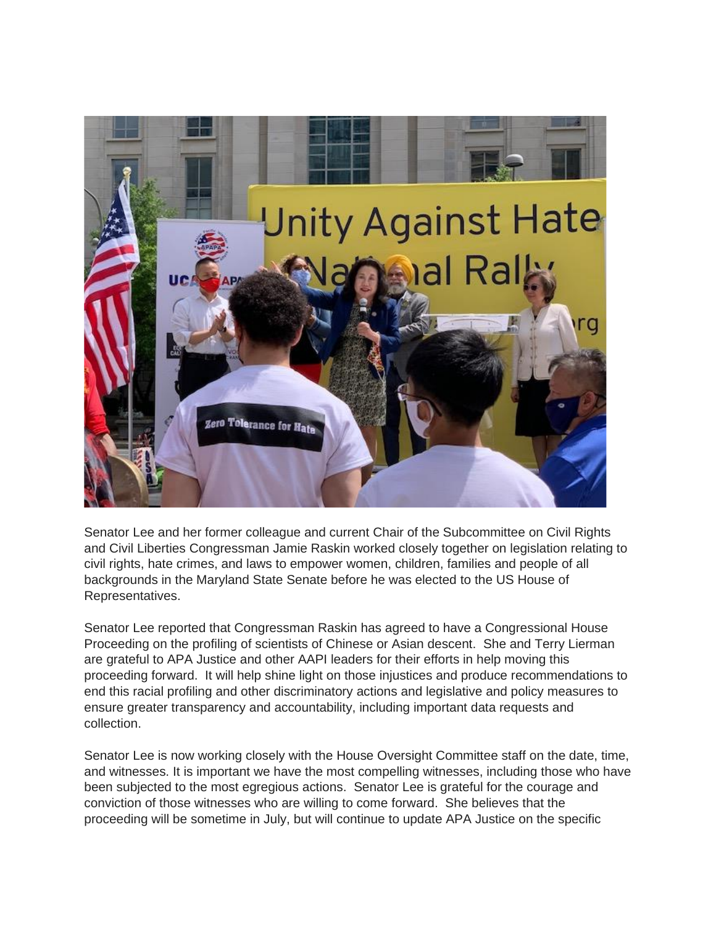

Senator Lee and her former colleague and current Chair of the Subcommittee on Civil Rights and Civil Liberties Congressman Jamie Raskin worked closely together on legislation relating to civil rights, hate crimes, and laws to empower women, children, families and people of all backgrounds in the Maryland State Senate before he was elected to the US House of Representatives.

Senator Lee reported that Congressman Raskin has agreed to have a Congressional House Proceeding on the profiling of scientists of Chinese or Asian descent. She and Terry Lierman are grateful to APA Justice and other AAPI leaders for their efforts in help moving this proceeding forward. It will help shine light on those injustices and produce recommendations to end this racial profiling and other discriminatory actions and legislative and policy measures to ensure greater transparency and accountability, including important data requests and collection.

Senator Lee is now working closely with the House Oversight Committee staff on the date, time, and witnesses. It is important we have the most compelling witnesses, including those who have been subjected to the most egregious actions. Senator Lee is grateful for the courage and conviction of those witnesses who are willing to come forward. She believes that the proceeding will be sometime in July, but will continue to update APA Justice on the specific